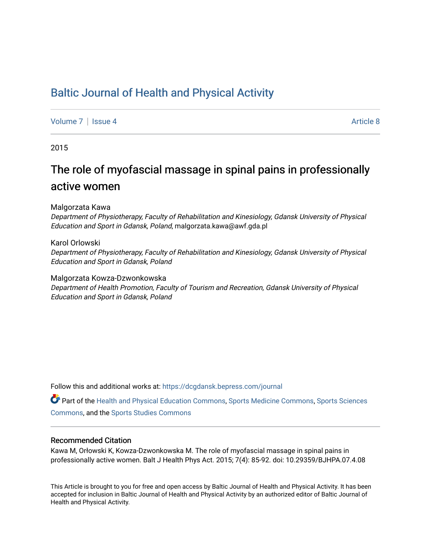## [Baltic Journal of Health and Physical Activity](https://dcgdansk.bepress.com/journal)

[Volume 7](https://dcgdansk.bepress.com/journal/vol7) | [Issue 4](https://dcgdansk.bepress.com/journal/vol7/iss4) Article 8

2015

## The role of myofascial massage in spinal pains in professionally active women

Malgorzata Kawa

Department of Physiotherapy, Faculty of Rehabilitation and Kinesiology, Gdansk University of Physical Education and Sport in Gdansk, Poland, malgorzata.kawa@awf.gda.pl

#### Karol Orlowski

Department of Physiotherapy, Faculty of Rehabilitation and Kinesiology, Gdansk University of Physical Education and Sport in Gdansk, Poland

Malgorzata Kowza-Dzwonkowska Department of Health Promotion, Faculty of Tourism and Recreation, Gdansk University of Physical Education and Sport in Gdansk, Poland

Follow this and additional works at: [https://dcgdansk.bepress.com/journal](https://dcgdansk.bepress.com/journal?utm_source=dcgdansk.bepress.com%2Fjournal%2Fvol7%2Fiss4%2F8&utm_medium=PDF&utm_campaign=PDFCoverPages)

Part of the [Health and Physical Education Commons](http://network.bepress.com/hgg/discipline/1327?utm_source=dcgdansk.bepress.com%2Fjournal%2Fvol7%2Fiss4%2F8&utm_medium=PDF&utm_campaign=PDFCoverPages), [Sports Medicine Commons,](http://network.bepress.com/hgg/discipline/1331?utm_source=dcgdansk.bepress.com%2Fjournal%2Fvol7%2Fiss4%2F8&utm_medium=PDF&utm_campaign=PDFCoverPages) [Sports Sciences](http://network.bepress.com/hgg/discipline/759?utm_source=dcgdansk.bepress.com%2Fjournal%2Fvol7%2Fiss4%2F8&utm_medium=PDF&utm_campaign=PDFCoverPages) [Commons](http://network.bepress.com/hgg/discipline/759?utm_source=dcgdansk.bepress.com%2Fjournal%2Fvol7%2Fiss4%2F8&utm_medium=PDF&utm_campaign=PDFCoverPages), and the [Sports Studies Commons](http://network.bepress.com/hgg/discipline/1198?utm_source=dcgdansk.bepress.com%2Fjournal%2Fvol7%2Fiss4%2F8&utm_medium=PDF&utm_campaign=PDFCoverPages) 

#### Recommended Citation

Kawa M, Orłowski K, Kowza-Dzwonkowska M. The role of myofascial massage in spinal pains in professionally active women. Balt J Health Phys Act. 2015; 7(4): 85-92. doi: 10.29359/BJHPA.07.4.08

This Article is brought to you for free and open access by Baltic Journal of Health and Physical Activity. It has been accepted for inclusion in Baltic Journal of Health and Physical Activity by an authorized editor of Baltic Journal of Health and Physical Activity.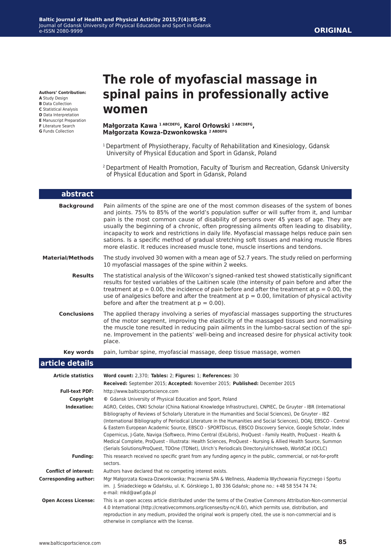### **ORIGINAL**

**Authors' Contribution:**

- **A** Study Design
- **B** Data Collection
- **C** Statistical Analysis **D** Data Interpretation
- **E** Manuscript Preparation
- **F** Literature Search
- **G** Funds Collection

# **The role of myofascial massage in spinal pains in professionally active women**

#### **Małgorzata Kawa 1 ABCDEFG, Karol Orłowski 1 ABCDEFG, Małgorzata Kowza-Dzwonkowska 2 ABDEFG**

- <sup>1</sup> Department of Physiotherapy, Faculty of Rehabilitation and Kinesiology, Gdansk University of Physical Education and Sport in Gdansk, Poland
- 2 Department of Health Promotion, Faculty of Tourism and Recreation, Gdansk University of Physical Education and Sport in Gdansk, Poland

| abstract                           |                                                                                                                                                                                                                                                                                                                                                                                                                                                                                                                                                                                                                                                                                                                                                                                                      |
|------------------------------------|------------------------------------------------------------------------------------------------------------------------------------------------------------------------------------------------------------------------------------------------------------------------------------------------------------------------------------------------------------------------------------------------------------------------------------------------------------------------------------------------------------------------------------------------------------------------------------------------------------------------------------------------------------------------------------------------------------------------------------------------------------------------------------------------------|
| <b>Background</b>                  | Pain ailments of the spine are one of the most common diseases of the system of bones<br>and joints. 75% to 85% of the world's population suffer or will suffer from it, and lumbar<br>pain is the most common cause of disability of persons over 45 years of age. They are<br>usually the beginning of a chronic, often progressing ailments often leading to disability,<br>incapacity to work and restrictions in daily life. Myofascial massage helps reduce pain sen<br>sations. Is a specific method of gradual stretching soft tissues and making muscle fibres<br>more elastic. It reduces increased muscle tone, muscle insertions and tendons.                                                                                                                                            |
| <b>Material/Methods</b>            | The study involved 30 women with a mean age of 52.7 years. The study relied on performing<br>10 myofascial massages of the spine within 2 weeks.                                                                                                                                                                                                                                                                                                                                                                                                                                                                                                                                                                                                                                                     |
| <b>Results</b>                     | The statistical analysis of the Wilcoxon's signed-ranked test showed statistically significant<br>results for tested variables of the Laitinen scale (the intensity of pain before and after the<br>treatment at $p = 0.00$ , the incidence of pain before and after the treatment at $p = 0.00$ , the<br>use of analgesics before and after the treatment at $p = 0.00$ , limitation of physical activity<br>before and after the treatment at $p = 0.00$ ).                                                                                                                                                                                                                                                                                                                                        |
| <b>Conclusions</b>                 | The applied therapy involving a series of myofascial massages supporting the structures<br>of the motor segment, improving the elasticity of the massaged tissues and normalising<br>the muscle tone resulted in reducing pain ailments in the lumbo-sacral section of the spi-<br>ne. Improvement in the patients' well-being and increased desire for physical activity took<br>place.                                                                                                                                                                                                                                                                                                                                                                                                             |
| Key words                          | pain, lumbar spine, myofascial massage, deep tissue massage, women                                                                                                                                                                                                                                                                                                                                                                                                                                                                                                                                                                                                                                                                                                                                   |
| article details                    |                                                                                                                                                                                                                                                                                                                                                                                                                                                                                                                                                                                                                                                                                                                                                                                                      |
| <b>Article statistics</b>          | Word count: 2,370; Tables: 2; Figures: 1; References: 30                                                                                                                                                                                                                                                                                                                                                                                                                                                                                                                                                                                                                                                                                                                                             |
|                                    | Received: September 2015; Accepted: November 2015; Published: December 2015                                                                                                                                                                                                                                                                                                                                                                                                                                                                                                                                                                                                                                                                                                                          |
| <b>Full-text PDF:</b><br>Copyright | http://www.balticsportscience.com<br>© Gdansk University of Physical Education and Sport, Poland                                                                                                                                                                                                                                                                                                                                                                                                                                                                                                                                                                                                                                                                                                     |
| <b>Indexation:</b>                 | AGRO, Celdes, CNKI Scholar (China National Knowledge Infrastructure), CNPIEC, De Gruyter - IBR (International<br>Bibliography of Reviews of Scholarly Literature in the Humanities and Social Sciences), De Gruyter - IBZ<br>(International Bibliography of Periodical Literature in the Humanities and Social Sciences), DOAJ, EBSCO - Central<br>& Eastern European Academic Source, EBSCO - SPORTDiscus, EBSCO Discovery Service, Google Scholar, Index<br>Copernicus, J-Gate, Naviga (Softweco, Primo Central (ExLibris), ProQuest - Family Health, ProQuest - Health &<br>Medical Complete, ProQuest - Illustrata: Health Sciences, ProQuest - Nursing & Allied Health Source, Summon<br>(Serials Solutions/ProQuest, TDOne (TDNet), Ulrich's Periodicals Directory/ulrichsweb, WorldCat (OCLC) |
| <b>Funding:</b>                    | This research received no specific grant from any funding agency in the public, commercial, or not-for-profit<br>sectors.                                                                                                                                                                                                                                                                                                                                                                                                                                                                                                                                                                                                                                                                            |
| <b>Conflict of interest:</b>       | Authors have declared that no competing interest exists.                                                                                                                                                                                                                                                                                                                                                                                                                                                                                                                                                                                                                                                                                                                                             |
| <b>Corresponding author:</b>       | Mgr Małgorzata Kowza-Dzwonkowska; Pracownia SPA & Wellness, Akademia Wychowania Fizycznego i Sportu<br>im. J. Śniadeckiego w Gdańsku, ul. K. Górskiego 1, 80 336 Gdańsk; phone no.: +48 58 554 74 74;<br>e-mail: mkd@awf.gda.pl                                                                                                                                                                                                                                                                                                                                                                                                                                                                                                                                                                      |
| <b>Open Access License:</b>        | This is an open access article distributed under the terms of the Creative Commons Attribution-Non-commercial<br>4.0 International (http://creativecommons.org/licenses/by-nc/4.0/), which permits use, distribution, and<br>reproduction in any medium, provided the original work is properly cited, the use is non-commercial and is<br>otherwise in compliance with the license.                                                                                                                                                                                                                                                                                                                                                                                                                 |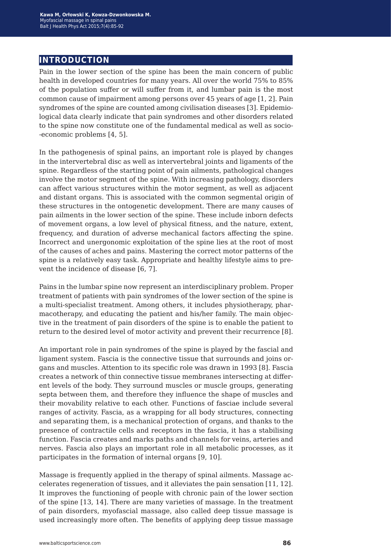## **introduction**

Pain in the lower section of the spine has been the main concern of public health in developed countries for many years. All over the world 75% to 85% of the population suffer or will suffer from it, and lumbar pain is the most common cause of impairment among persons over 45 years of age [1, 2]. Pain syndromes of the spine are counted among civilisation diseases [3]. Epidemiological data clearly indicate that pain syndromes and other disorders related to the spine now constitute one of the fundamental medical as well as socio- -economic problems [4, 5].

In the pathogenesis of spinal pains, an important role is played by changes in the intervertebral disc as well as intervertebral joints and ligaments of the spine. Regardless of the starting point of pain ailments, pathological changes involve the motor segment of the spine. With increasing pathology, disorders can affect various structures within the motor segment, as well as adjacent and distant organs. This is associated with the common segmental origin of these structures in the ontogenetic development. There are many causes of pain ailments in the lower section of the spine. These include inborn defects of movement organs, a low level of physical fitness, and the nature, extent, frequency, and duration of adverse mechanical factors affecting the spine. Incorrect and unergonomic exploitation of the spine lies at the root of most of the causes of aches and pains. Mastering the correct motor patterns of the spine is a relatively easy task. Appropriate and healthy lifestyle aims to prevent the incidence of disease [6, 7].

Pains in the lumbar spine now represent an interdisciplinary problem. Proper treatment of patients with pain syndromes of the lower section of the spine is a multi-specialist treatment. Among others, it includes physiotherapy, pharmacotherapy, and educating the patient and his/her family. The main objective in the treatment of pain disorders of the spine is to enable the patient to return to the desired level of motor activity and prevent their recurrence [8].

An important role in pain syndromes of the spine is played by the fascial and ligament system. Fascia is the connective tissue that surrounds and joins organs and muscles. Attention to its specific role was drawn in 1993 [8]. Fascia creates a network of thin connective tissue membranes intersecting at different levels of the body. They surround muscles or muscle groups, generating septa between them, and therefore they influence the shape of muscles and their movability relative to each other. Functions of fasciae include several ranges of activity. Fascia, as a wrapping for all body structures, connecting and separating them, is a mechanical protection of organs, and thanks to the presence of contractile cells and receptors in the fascia, it has a stabilising function. Fascia creates and marks paths and channels for veins, arteries and nerves. Fascia also plays an important role in all metabolic processes, as it participates in the formation of internal organs [9, 10].

Massage is frequently applied in the therapy of spinal ailments. Massage accelerates regeneration of tissues, and it alleviates the pain sensation [11, 12]. It improves the functioning of people with chronic pain of the lower section of the spine [13, 14]. There are many varieties of massage. In the treatment of pain disorders, myofascial massage, also called deep tissue massage is used increasingly more often. The benefits of applying deep tissue massage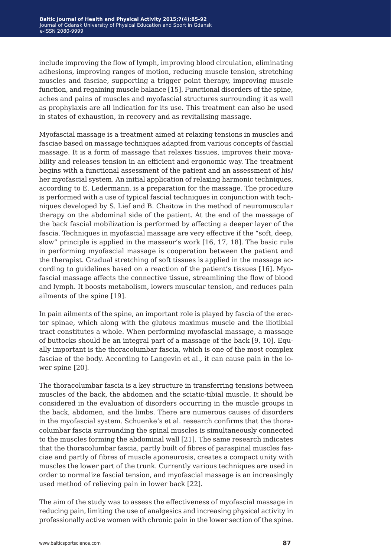include improving the flow of lymph, improving blood circulation, eliminating adhesions, improving ranges of motion, reducing muscle tension, stretching muscles and fasciae, supporting a trigger point therapy, improving muscle function, and regaining muscle balance [15]. Functional disorders of the spine, aches and pains of muscles and myofascial structures surrounding it as well as prophylaxis are all indication for its use. This treatment can also be used in states of exhaustion, in recovery and as revitalising massage.

Myofascial massage is a treatment aimed at relaxing tensions in muscles and fasciae based on massage techniques adapted from various concepts of fascial massage. It is a form of massage that relaxes tissues, improves their movability and releases tension in an efficient and ergonomic way. The treatment begins with a functional assessment of the patient and an assessment of his/ her myofascial system. An initial application of relaxing harmonic techniques, according to E. Ledermann, is a preparation for the massage. The procedure is performed with a use of typical fascial techniques in conjunction with techniques developed by S. Lief and B. Chaitow in the method of neuromuscular therapy on the abdominal side of the patient. At the end of the massage of the back fascial mobilization is performed by affecting a deeper layer of the fascia. Techniques in myofascial massage are very effective if the "soft, deep, slow" principle is applied in the masseur's work [16, 17, 18]. The basic rule in performing myofascial massage is cooperation between the patient and the therapist. Gradual stretching of soft tissues is applied in the massage according to guidelines based on a reaction of the patient's tissues [16]. Myofascial massage affects the connective tissue, streamlining the flow of blood and lymph. It boosts metabolism, lowers muscular tension, and reduces pain ailments of the spine [19].

In pain ailments of the spine, an important role is played by fascia of the erector spinae, which along with the gluteus maximus muscle and the iliotibial tract constitutes a whole. When performing myofascial massage, a massage of buttocks should be an integral part of a massage of the back [9, 10]. Equally important is the thoracolumbar fascia, which is one of the most complex fasciae of the body. According to Langevin et al., it can cause pain in the lower spine [20].

The thoracolumbar fascia is a key structure in transferring tensions between muscles of the back, the abdomen and the sciatic-tibial muscle. It should be considered in the evaluation of disorders occurring in the muscle groups in the back, abdomen, and the limbs. There are numerous causes of disorders in the myofascial system. Schuenke's et al. research confirms that the thoracolumbar fascia surrounding the spinal muscles is simultaneously connected to the muscles forming the abdominal wall [21]. The same research indicates that the thoracolumbar fascia, partly built of fibres of paraspinal muscles fasciae and partly of fibres of muscle aponeurosis, creates a compact unity with muscles the lower part of the trunk. Currently various techniques are used in order to normalize fascial tension, and myofascial massage is an increasingly used method of relieving pain in lower back [22].

The aim of the study was to assess the effectiveness of myofascial massage in reducing pain, limiting the use of analgesics and increasing physical activity in professionally active women with chronic pain in the lower section of the spine.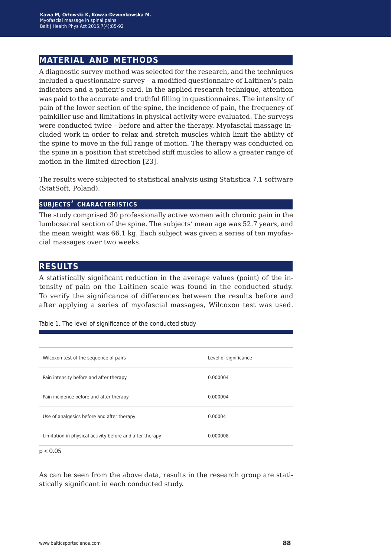## **material and methods**

A diagnostic survey method was selected for the research, and the techniques included a questionnaire survey – a modified questionnaire of Laitinen's pain indicators and a patient's card. In the applied research technique, attention was paid to the accurate and truthful filling in questionnaires. The intensity of pain of the lower section of the spine, the incidence of pain, the frequency of painkiller use and limitations in physical activity were evaluated. The surveys were conducted twice – before and after the therapy. Myofascial massage included work in order to relax and stretch muscles which limit the ability of the spine to move in the full range of motion. The therapy was conducted on the spine in a position that stretched stiff muscles to allow a greater range of motion in the limited direction [23].

The results were subjected to statistical analysis using Statistica 7.1 software (StatSoft, Poland).

#### **subjects' characteristics**

The study comprised 30 professionally active women with chronic pain in the lumbosacral section of the spine. The subjects' mean age was 52.7 years, and the mean weight was 66.1 kg. Each subject was given a series of ten myofascial massages over two weeks.

## **results**

A statistically significant reduction in the average values (point) of the intensity of pain on the Laitinen scale was found in the conducted study. To verify the significance of differences between the results before and after applying a series of myofascial massages, Wilcoxon test was used.

Table 1. The level of significance of the conducted study

| Wilcoxon test of the sequence of pairs                   | Level of significance |
|----------------------------------------------------------|-----------------------|
| Pain intensity before and after therapy                  | 0.000004              |
| Pain incidence before and after therapy                  | 0.000004              |
| Use of analgesics before and after therapy               | 0.00004               |
| Limitation in physical activity before and after therapy | 0.000008              |

 $p < 0.05$ 

As can be seen from the above data, results in the research group are statistically significant in each conducted study.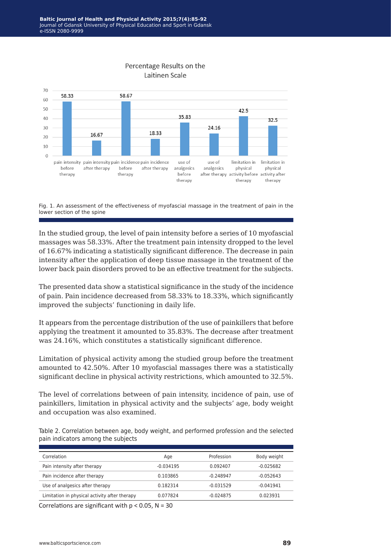

Fig. 1. An assessment of the effectiveness of myofascial massage in the treatment of pain in the lower section of the spine

In the studied group, the level of pain intensity before a series of 10 myofascial massages was 58.33%. After the treatment pain intensity dropped to the level of 16.67% indicating a statistically significant difference. The decrease in pain intensity after the application of deep tissue massage in the treatment of the lower back pain disorders proved to be an effective treatment for the subjects.

The presented data show a statistical significance in the study of the incidence of pain. Pain incidence decreased from 58.33% to 18.33%, which significantly improved the subjects' functioning in daily life.

It appears from the percentage distribution of the use of painkillers that before applying the treatment it amounted to 35.83%. The decrease after treatment was 24.16%, which constitutes a statistically significant difference.

Limitation of physical activity among the studied group before the treatment amounted to 42.50%. After 10 myofascial massages there was a statistically significant decline in physical activity restrictions, which amounted to 32.5%.

The level of correlations between of pain intensity, incidence of pain, use of painkillers, limitation in physical activity and the subjects' age, body weight and occupation was also examined.

Table 2. Correlation between age, body weight, and performed profession and the selected pain indicators among the subjects

| Correlation                                   | Age       | Profession  | Body weight |
|-----------------------------------------------|-----------|-------------|-------------|
| Pain intensity after therapy                  | -0.034195 | 0.092407    | -0.025682   |
| Pain incidence after therapy                  | 0.103865  | $-0.248947$ | $-0.052643$ |
| Use of analgesics after therapy               | 0.182314  | $-0.031529$ | $-0.041941$ |
| Limitation in physical activity after therapy | 0.077824  | $-0.024875$ | 0.023931    |

Correlations are significant with  $p < 0.05$ , N = 30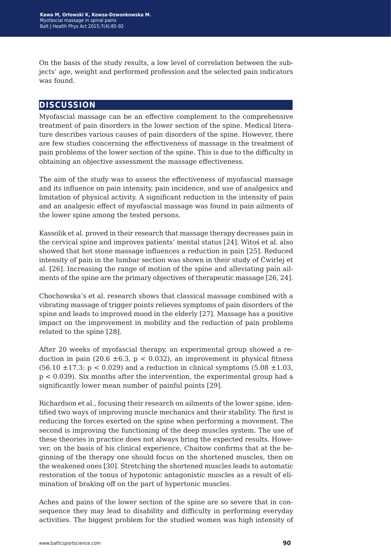On the basis of the study results, a low level of correlation between the subjects' age, weight and performed profession and the selected pain indicators was found.

## **discussion**

Myofascial massage can be an effective complement to the comprehensive treatment of pain disorders in the lower section of the spine. Medical literature describes various causes of pain disorders of the spine. However, there are few studies concerning the effectiveness of massage in the treatment of pain problems of the lower section of the spine. This is due to the difficulty in obtaining an objective assessment the massage effectiveness.

The aim of the study was to assess the effectiveness of myofascial massage and its influence on pain intensity, pain incidence, and use of analgesics and limitation of physical activity. A significant reduction in the intensity of pain and an analgesic effect of myofascial massage was found in pain ailments of the lower spine among the tested persons.

Kassolik et al. proved in their research that massage therapy decreases pain in the cervical spine and improves patients' mental status [24]. Witoś et al. also showed that hot stone massage influences a reduction in pain [25]. Reduced intensity of pain in the lumbar section was shown in their study of Ćwirlej et al. [26]. Increasing the range of motion of the spine and alleviating pain ailments of the spine are the primary objectives of therapeutic massage [26, 24].

Chochowska's et al. research shows that classical massage combined with a vibrating massage of trigger points relieves symptoms of pain disorders of the spine and leads to improved mood in the elderly [27]. Massage has a positive impact on the improvement in mobility and the reduction of pain problems related to the spine [28].

After 20 weeks of myofascial therapy, an experimental group showed a reduction in pain (20.6  $\pm$ 6.3, p < 0.032), an improvement in physical fitness  $(56.10 \pm 17.3; p < 0.029)$  and a reduction in clinical symptoms  $(5.08 \pm 1.03, p < 0.029)$ p < 0.039). Six months after the intervention, the experimental group had a significantly lower mean number of painful points [29].

Richardson et al., focusing their research on ailments of the lower spine, identified two ways of improving muscle mechanics and their stability. The first is reducing the forces exerted on the spine when performing a movement. The second is improving the functioning of the deep muscles system. The use of these theories in practice does not always bring the expected results. However, on the basis of his clinical experience, Chaitow confirms that at the beginning of the therapy one should focus on the shortened muscles, then on the weakened ones [30]. Stretching the shortened muscles leads to automatic restoration of the tonus of hypotonic antagonistic muscles as a result of elimination of braking off on the part of hypertonic muscles.

Aches and pains of the lower section of the spine are so severe that in consequence they may lead to disability and difficulty in performing everyday activities. The biggest problem for the studied women was high intensity of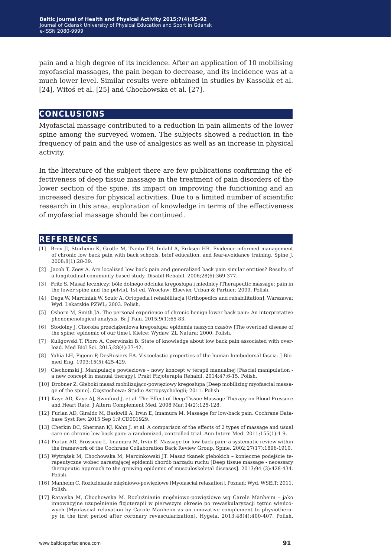pain and a high degree of its incidence. After an application of 10 mobilising myofascial massages, the pain began to decrease, and its incidence was at a much lower level. Similar results were obtained in studies by Kassolik et al. [24], Witoś et al. [25] and Chochowska et al. [27].

### **conclusions**

Myofascial massage contributed to a reduction in pain ailments of the lower spine among the surveyed women. The subjects showed a reduction in the frequency of pain and the use of analgesics as well as an increase in physical activity.

In the literature of the subject there are few publications confirming the effectiveness of deep tissue massage in the treatment of pain disorders of the lower section of the spine, its impact on improving the functioning and an increased desire for physical activities. Due to a limited number of scientific research in this area, exploration of knowledge in terms of the effectiveness of myofascial massage should be continued.

### **references**

- [1] Brox JI, Storheim K, Grotle M, Tveito TH, Indahl A, Eriksen HR. Evidence-informed management of chronic low back pain with back schools, brief education, and fear-avoidance training. Spine J. 2008;8(1):28-39.
- [2] Jacob T, Zeev A. Are localized low back pain and generalized back pain similar entities? Results of a longitudinal community based study. Disabil Rehabil. 2006;28(6):369-377.
- [3] Fritz S. Masaż leczniczy: bóle dolnego odcinka kręgosłupa i miednicy [Therapeutic massage: pain in the lower spine and the pelvis]. 1st ed. Wrocław: Elsevier Urban & Partner; 2009. Polish.
- [4] Dega W, Marciniak W, Szulc A. Ortopedia i rehabilitacja [Orthopedics and rehabilitation]. Warszawa: Wyd. Lekarskie PZWL; 2003. Polish.
- [5] Osborn M, Smith JA. The personal experience of chronic benign lower back pain: An interpretative phenomenological analysis. Br J Pain. 2015;9(1):65-83.
- [6] Stodolny J. Choroba przeciążeniowa kregosłupa: epidemia naszych czasów [The overload disease of the spine: epidemic of our time]. Kielce: Wydaw. ZL Natura; 2000. Polish.
- [7] Kuligowski T, Pioro A, Czerwinski B. State of knowledge about low back pain associated with overload. Med Biol Sci. 2015;28(4):37-42.
- [8] Yahia LH, Pigeon P, DesRosiers EA. Viscoelastic properties of the human lumbodorsal fascia. J Biomed Eng. 1993;15(5):425-429.
- [9] Ciechomski J. Manipulacje powieziowe nowy koncept w terapii manualnej [Fascial manipulation a new concept in manual therapy]. Prakt Fizjoterapia Rehabil. 2014;47:6-15. Polish.
- [10] Drobner Z. Głeboki masaż mobilizująco-powięziowy kregosłupa [Deep mobilizing myofascial massage of the spine]. Częstochowa: Studio Astropsychologii; 2011. Polish.
- [11] Kaye AD, Kaye AJ, Swinford J, et al. The Effect of Deep-Tissue Massage Therapy on Blood Pressure and Heart Rate. J Altern Complement Med. 2008 Mar;14(2):125-128.
- [12] Furlan AD, Giraldo M, Baskwill A, Irvin E, Imamura M. Massage for low-back pain. Cochrane Database Syst Rev. 2015 Sep 1;9:CD001929.
- [13] Cherkin DC, Sherman KJ, Kahn J, et al. A comparison of the effects of 2 types of massage and usual care on chronic low back pain: a randomized, controlled trial. Ann Intern Med. 2011;155(1):1-9.
- [14] Furlan AD, Brosseau L, Imamura M, Irvin E. Massage for low-back pain: a systematic review within the framework of the Cochrane Collaboration Back Review Group. Spine. 2002;27(17):1896-1910.
- [15] Wytrążek M, Chochowska M, Marcinkowski JT. Masaż tkanek głebokich konieczne podejście terapeutyczne wobec narastającej epidemii chorób narządu ruchu [Deep tissue massage - necessary therapeutic approach to the growing epidemic of musculoskeletal diseases]. 2013;94 (3):428-434. Polish.
- [16] Manheim C. Rozluźnianie mięśniowo-powięziowe [Myofascial relaxation]. Poznań: Wyd. WSEiT; 2011. Polish.
- [17] Ratajska M, Chochowska M. Rozluźnianie mięśniowo-powięziowe wg Carole Manheim jako innowacyjne uzupełnienie fizjoterapii w pierwszym okresie po rewaskularyzacji tętnic wieńcowych [Myofascial relaxation by Carole Manheim as an innovative complement to physiotherapy in the first period after coronary revascularization]. Hygeia. 2013;48(4):400-407. Polish.